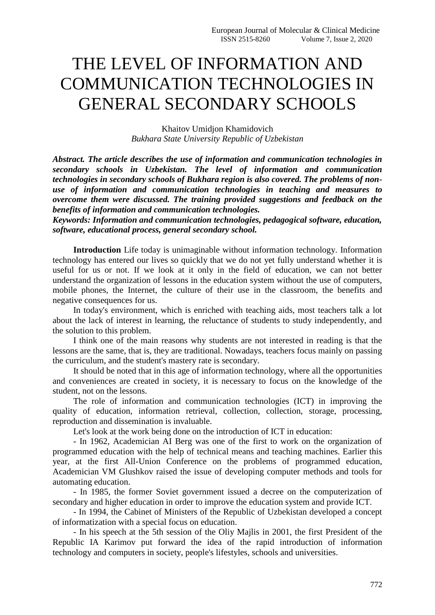## THE LEVEL OF INFORMATION AND COMMUNICATION TECHNOLOGIES IN GENERAL SECONDARY SCHOOLS

Khaitov Umidjon Khamidovich *Bukhara State University Republic of Uzbekistan*

*Abstract. The article describes the use of information and communication technologies in secondary schools in Uzbekistan. The level of information and communication technologies in secondary schools of Bukhara region is also covered. The problems of nonuse of information and communication technologies in teaching and measures to overcome them were discussed. The training provided suggestions and feedback on the benefits of information and communication technologies.*

*Keywords: Information and communication technologies, pedagogical software, education, software, educational process, general secondary school.*

**Introduction** Life today is unimaginable without information technology. Information technology has entered our lives so quickly that we do not yet fully understand whether it is useful for us or not. If we look at it only in the field of education, we can not better understand the organization of lessons in the education system without the use of computers, mobile phones, the Internet, the culture of their use in the classroom, the benefits and negative consequences for us.

In today's environment, which is enriched with teaching aids, most teachers talk a lot about the lack of interest in learning, the reluctance of students to study independently, and the solution to this problem.

I think one of the main reasons why students are not interested in reading is that the lessons are the same, that is, they are traditional. Nowadays, teachers focus mainly on passing the curriculum, and the student's mastery rate is secondary.

It should be noted that in this age of information technology, where all the opportunities and conveniences are created in society, it is necessary to focus on the knowledge of the student, not on the lessons.

The role of information and communication technologies (ICT) in improving the quality of education, information retrieval, collection, collection, storage, processing, reproduction and dissemination is invaluable.

Let's look at the work being done on the introduction of ICT in education:

- In 1962, Academician AI Berg was one of the first to work on the organization of programmed education with the help of technical means and teaching machines. Earlier this year, at the first All-Union Conference on the problems of programmed education, Academician VM Glushkov raised the issue of developing computer methods and tools for automating education.

- In 1985, the former Soviet government issued a decree on the computerization of secondary and higher education in order to improve the education system and provide ICT.

- In 1994, the Cabinet of Ministers of the Republic of Uzbekistan developed a concept of informatization with a special focus on education.

- In his speech at the 5th session of the Oliy Majlis in 2001, the first President of the Republic IA Karimov put forward the idea of the rapid introduction of information technology and computers in society, people's lifestyles, schools and universities.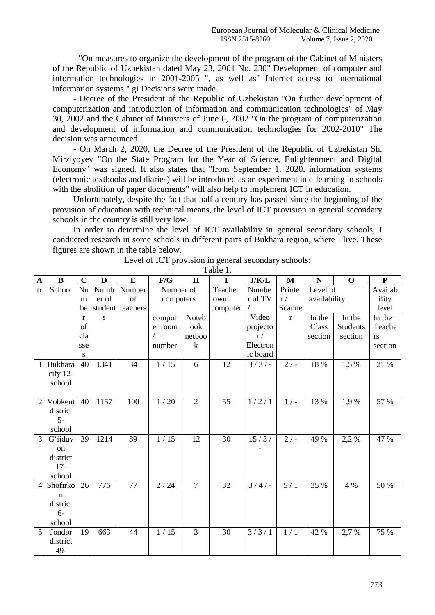- "On measures to organize the development of the program of the Cabinet of Ministers of the Republic of Uzbekistan dated May 23, 2001 No. 230" Development of computer and information technologies in 2001-2005 ", as well as" Internet access to international information systems " gi Decisions were made.

- Decree of the President of the Republic of Uzbekistan "On further development of computerization and introduction of information and communication technologies" of May 30, 2002 and the Cabinet of Ministers of June 6, 2002 "On the program of computerization and development of information and communication technologies for 2002-2010" The decision was announced.

- On March 2, 2020, the Decree of the President of the Republic of Uzbekistan Sh. Mirziyoyev "On the State Program for the Year of Science, Enlightenment and Digital Economy" was signed. It also states that "from September 1, 2020, information systems (electronic textbooks and diaries) will be introduced as an experiment in e-learning in schools with the abolition of paper documents" will also help to implement ICT in education.

Unfortunately, despite the fact that half a century has passed since the beginning of the provision of education with technical means, the level of ICT provision in general secondary schools in the country is still very low.

In order to determine the level of ICT availability in general secondary schools, I conducted research in some schools in different parts of Bukhara region, where I live. These figures are shown in the table below.

| A              | $\bf{B}$         | $\mathbf C$ | D         | E                | F/G       | H              | I        | J/K/L    | $\mathbf{M}$      | N            | $\mathbf 0$     | ${\bf P}$ |
|----------------|------------------|-------------|-----------|------------------|-----------|----------------|----------|----------|-------------------|--------------|-----------------|-----------|
| tr             | School           | Nu          | Numb      | Number           | Number of |                | Teacher  | Numbe    | Printe            | Level of     |                 | Availab   |
|                |                  | m           | er of     | of               | computers |                | own      | r of TV  | r/                | availability |                 | ility     |
|                |                  | be          |           | student teachers |           |                | computer |          | Scanne            |              |                 | level     |
|                |                  | r           | ${\bf S}$ |                  | comput    | Noteb          |          | Video    | $\mathbf r$       | In the       | In the          | In the    |
|                |                  | of          |           |                  | er room   | ook            |          | projecto |                   | Class        | <b>Students</b> | Teache    |
|                |                  | cla         |           |                  |           | netboo         |          | r/       |                   | section      | section         | rs        |
|                |                  | sse         |           |                  | number    | $\mathbf k$    |          | Electron |                   |              |                 | section   |
|                |                  | S           |           |                  |           |                |          | ic board |                   |              |                 |           |
| $\mathbf{1}$   | <b>Bukhara</b>   | 40          | 1341      | 84               | 1/15      | 6              | 12       | $3/3/-$  | $\frac{1}{2}$ / - | 18 %         | 1,5 %           | 21 %      |
|                | city 12-         |             |           |                  |           |                |          |          |                   |              |                 |           |
|                | school           |             |           |                  |           |                |          |          |                   |              |                 |           |
|                |                  |             |           |                  |           |                |          |          |                   |              |                 |           |
| $\overline{2}$ | Vobkent          | 40          | 1157      | 100              | 1/20      | $\overline{2}$ | 55       | 1/2/1    | $1/-$             | 13 %         | 1,9%            | 57 %      |
|                | district<br>$5-$ |             |           |                  |           |                |          |          |                   |              |                 |           |
|                |                  |             |           |                  |           |                |          |          |                   |              |                 |           |
| 3              | school           | 39          | 1214      | 89               | 1/15      | 12             | 30       | 15/3/    | $2/$ -            | 49 %         | 2,2%            | 47 %      |
|                | Gʻijduv          |             |           |                  |           |                |          |          |                   |              |                 |           |
|                | on<br>district   |             |           |                  |           |                |          |          |                   |              |                 |           |
|                | $17-$            |             |           |                  |           |                |          |          |                   |              |                 |           |
|                | school           |             |           |                  |           |                |          |          |                   |              |                 |           |
| $\overline{4}$ | Shofirko         | 26          | 776       | 77               | 2/24      | $\overline{7}$ | 32       | $3/4/-$  | 5/1               | 35 %         | 4 %             | 50 %      |
|                | $\mathbf n$      |             |           |                  |           |                |          |          |                   |              |                 |           |
|                | district         |             |           |                  |           |                |          |          |                   |              |                 |           |
|                | $6-$             |             |           |                  |           |                |          |          |                   |              |                 |           |
|                | school           |             |           |                  |           |                |          |          |                   |              |                 |           |
| 5              | Jondor           | 19          | 663       | 44               | 1/15      | 3              | 30       | 3/3/1    | 1/1               | 42 %         | 2,7 %           | 75 %      |
|                | district         |             |           |                  |           |                |          |          |                   |              |                 |           |
|                | 49-              |             |           |                  |           |                |          |          |                   |              |                 |           |

Level of ICT provision in general secondary schools:

Table 1.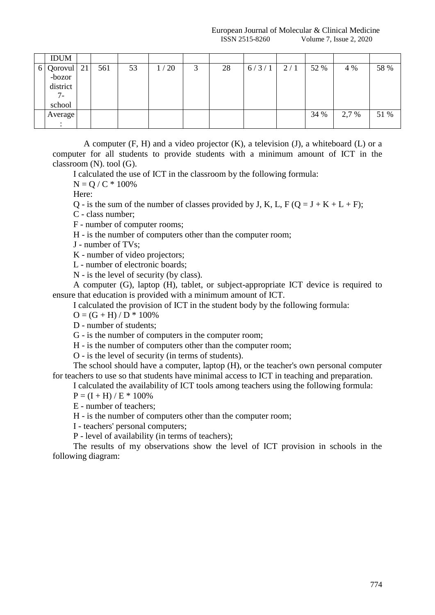|   | <b>IDUM</b> |    |     |    |      |   |    |       |     |      |       |      |
|---|-------------|----|-----|----|------|---|----|-------|-----|------|-------|------|
| 6 | Qorovul     | 21 | 561 | 53 | 1/20 | 3 | 28 | 6/3/1 | 2/1 | 52 % | 4 %   | 58 % |
|   | -bozor      |    |     |    |      |   |    |       |     |      |       |      |
|   | district    |    |     |    |      |   |    |       |     |      |       |      |
|   | $7-$        |    |     |    |      |   |    |       |     |      |       |      |
|   | school      |    |     |    |      |   |    |       |     |      |       |      |
|   | Average     |    |     |    |      |   |    |       |     | 34 % | 2,7 % | 51 % |
|   |             |    |     |    |      |   |    |       |     |      |       |      |

A computer  $(F, H)$  and a video projector  $(K)$ , a television  $(J)$ , a whiteboard  $(L)$  or a computer for all students to provide students with a minimum amount of ICT in the classroom (N). tool (G).

I calculated the use of ICT in the classroom by the following formula:

 $N = Q / C * 100\%$ 

Here:

Q - is the sum of the number of classes provided by J, K, L, F ( $Q = J + K + L + F$ );

C - class number;

F - number of computer rooms;

H - is the number of computers other than the computer room;

J - number of TVs;

K - number of video projectors;

L - number of electronic boards;

N - is the level of security (by class).

A computer (G), laptop (H), tablet, or subject-appropriate ICT device is required to ensure that education is provided with a minimum amount of ICT.

I calculated the provision of ICT in the student body by the following formula:

 $O = (G + H)/D * 100\%$ 

D - number of students;

G - is the number of computers in the computer room;

H - is the number of computers other than the computer room;

O - is the level of security (in terms of students).

The school should have a computer, laptop (H), or the teacher's own personal computer for teachers to use so that students have minimal access to ICT in teaching and preparation.

I calculated the availability of ICT tools among teachers using the following formula:

 $P = (I + H) / E * 100\%$ 

E - number of teachers;

H - is the number of computers other than the computer room;

I - teachers' personal computers;

P - level of availability (in terms of teachers);

The results of my observations show the level of ICT provision in schools in the following diagram: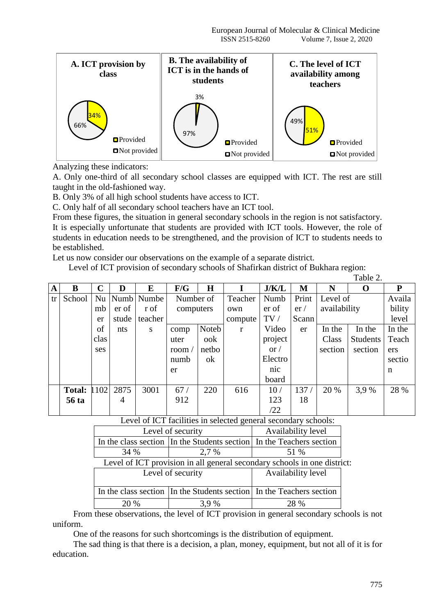

Analyzing these indicators:

A. Only one-third of all secondary school classes are equipped with ICT. The rest are still taught in the old-fashioned way.

B. Only 3% of all high school students have access to ICT.

C. Only half of all secondary school teachers have an ICT tool.

From these figures, the situation in general secondary schools in the region is not satisfactory. It is especially unfortunate that students are provided with ICT tools. However, the role of students in education needs to be strengthened, and the provision of ICT to students needs to be established.

Let us now consider our observations on the example of a separate district.

Level of ICT provision of secondary schools of Shafirkan district of Bukhara region:

Table 2.

| A  | B             | $\mathbf C$ | D     | E          | F/G           | $\bf H$ |         | J/K/L        | M     | N            | $\Omega$        | ${\bf P}$ |
|----|---------------|-------------|-------|------------|---------------|---------|---------|--------------|-------|--------------|-----------------|-----------|
| tr | School        | Nu          |       | Numb Numbe | Number of     |         | Teacher | Numb         | Print | Level of     |                 | Availa    |
|    |               | mb          | er of | r of       | computers     |         | own     | er of        | er/   | availability |                 | bility    |
|    |               | er          | stude | teacher    |               |         | compute | TV/          | Scann |              |                 | level     |
|    |               | of          | nts   | S          | comp          | Noteb   | r       | Video        | er    | In the       | In the          | In the    |
|    |               | clas        |       |            | uter          | ook     |         | project      |       | Class        | <b>Students</b> | Teach     |
|    |               | ses         |       |            | room $\prime$ | netbo   |         | $\alpha r /$ |       | section      | section         | ers       |
|    |               |             |       |            | numb          | ok      |         | Electro      |       |              |                 | sectio    |
|    |               |             |       |            | er            |         |         | nic          |       |              |                 | n         |
|    |               |             |       |            |               |         |         | board        |       |              |                 |           |
|    | <b>Total:</b> | 1102        | 2875  | 3001       | 67/           | 220     | 616     | 10/          | 137/  | 20 %         | 3.9%            | 28 %      |
|    | 56 ta         |             | 4     |            | 912           |         |         | 123          | 18    |              |                 |           |
|    |               |             |       |            |               |         |         | /22          |       |              |                 |           |

Level of ICT facilities in selected general secondary schools:

| Level of security                                                        | Availability level                                                   |                                                                      |  |  |  |  |  |  |
|--------------------------------------------------------------------------|----------------------------------------------------------------------|----------------------------------------------------------------------|--|--|--|--|--|--|
|                                                                          |                                                                      | In the class section In the Students section In the Teachers section |  |  |  |  |  |  |
| 34 %                                                                     | 2.7 %                                                                | 51 %                                                                 |  |  |  |  |  |  |
| Level of ICT provision in all general secondary schools in one district: |                                                                      |                                                                      |  |  |  |  |  |  |
|                                                                          | Level of security                                                    |                                                                      |  |  |  |  |  |  |
|                                                                          |                                                                      |                                                                      |  |  |  |  |  |  |
|                                                                          | In the class section In the Students section In the Teachers section |                                                                      |  |  |  |  |  |  |
| 20 %                                                                     | 3.9%                                                                 | 28 %                                                                 |  |  |  |  |  |  |

From these observations, the level of ICT provision in general secondary schools is not uniform.

One of the reasons for such shortcomings is the distribution of equipment.

The sad thing is that there is a decision, a plan, money, equipment, but not all of it is for education.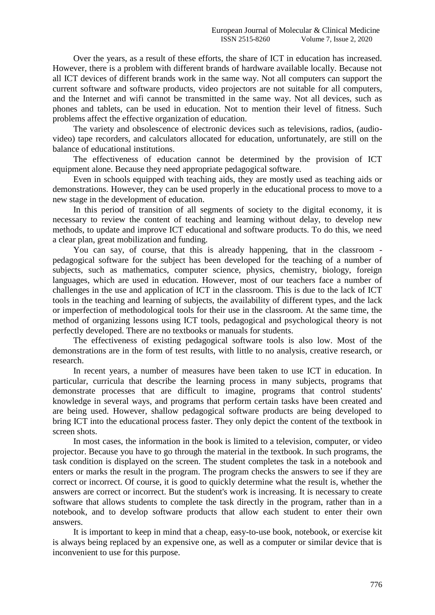Over the years, as a result of these efforts, the share of ICT in education has increased. However, there is a problem with different brands of hardware available locally. Because not all ICT devices of different brands work in the same way. Not all computers can support the current software and software products, video projectors are not suitable for all computers, and the Internet and wifi cannot be transmitted in the same way. Not all devices, such as phones and tablets, can be used in education. Not to mention their level of fitness. Such problems affect the effective organization of education.

The variety and obsolescence of electronic devices such as televisions, radios, (audiovideo) tape recorders, and calculators allocated for education, unfortunately, are still on the balance of educational institutions.

The effectiveness of education cannot be determined by the provision of ICT equipment alone. Because they need appropriate pedagogical software.

Even in schools equipped with teaching aids, they are mostly used as teaching aids or demonstrations. However, they can be used properly in the educational process to move to a new stage in the development of education.

In this period of transition of all segments of society to the digital economy, it is necessary to review the content of teaching and learning without delay, to develop new methods, to update and improve ICT educational and software products. To do this, we need a clear plan, great mobilization and funding.

You can say, of course, that this is already happening, that in the classroom pedagogical software for the subject has been developed for the teaching of a number of subjects, such as mathematics, computer science, physics, chemistry, biology, foreign languages, which are used in education. However, most of our teachers face a number of challenges in the use and application of ICT in the classroom. This is due to the lack of ICT tools in the teaching and learning of subjects, the availability of different types, and the lack or imperfection of methodological tools for their use in the classroom. At the same time, the method of organizing lessons using ICT tools, pedagogical and psychological theory is not perfectly developed. There are no textbooks or manuals for students.

The effectiveness of existing pedagogical software tools is also low. Most of the demonstrations are in the form of test results, with little to no analysis, creative research, or research.

In recent years, a number of measures have been taken to use ICT in education. In particular, curricula that describe the learning process in many subjects, programs that demonstrate processes that are difficult to imagine, programs that control students' knowledge in several ways, and programs that perform certain tasks have been created and are being used. However, shallow pedagogical software products are being developed to bring ICT into the educational process faster. They only depict the content of the textbook in screen shots.

In most cases, the information in the book is limited to a television, computer, or video projector. Because you have to go through the material in the textbook. In such programs, the task condition is displayed on the screen. The student completes the task in a notebook and enters or marks the result in the program. The program checks the answers to see if they are correct or incorrect. Of course, it is good to quickly determine what the result is, whether the answers are correct or incorrect. But the student's work is increasing. It is necessary to create software that allows students to complete the task directly in the program, rather than in a notebook, and to develop software products that allow each student to enter their own answers.

It is important to keep in mind that a cheap, easy-to-use book, notebook, or exercise kit is always being replaced by an expensive one, as well as a computer or similar device that is inconvenient to use for this purpose.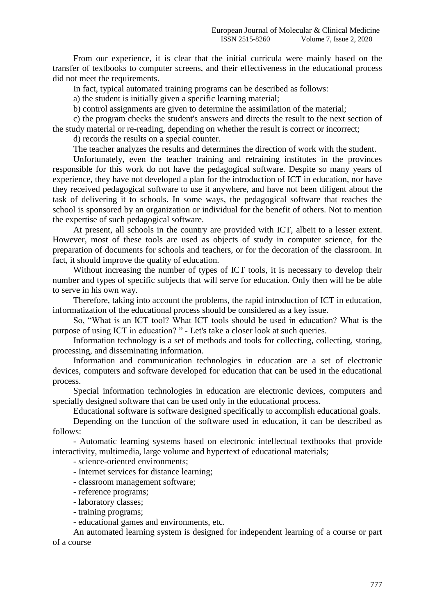From our experience, it is clear that the initial curricula were mainly based on the transfer of textbooks to computer screens, and their effectiveness in the educational process did not meet the requirements.

In fact, typical automated training programs can be described as follows:

a) the student is initially given a specific learning material;

b) control assignments are given to determine the assimilation of the material;

c) the program checks the student's answers and directs the result to the next section of the study material or re-reading, depending on whether the result is correct or incorrect;

d) records the results on a special counter.

The teacher analyzes the results and determines the direction of work with the student.

Unfortunately, even the teacher training and retraining institutes in the provinces responsible for this work do not have the pedagogical software. Despite so many years of experience, they have not developed a plan for the introduction of ICT in education, nor have they received pedagogical software to use it anywhere, and have not been diligent about the task of delivering it to schools. In some ways, the pedagogical software that reaches the school is sponsored by an organization or individual for the benefit of others. Not to mention the expertise of such pedagogical software.

At present, all schools in the country are provided with ICT, albeit to a lesser extent. However, most of these tools are used as objects of study in computer science, for the preparation of documents for schools and teachers, or for the decoration of the classroom. In fact, it should improve the quality of education.

Without increasing the number of types of ICT tools, it is necessary to develop their number and types of specific subjects that will serve for education. Only then will he be able to serve in his own way.

Therefore, taking into account the problems, the rapid introduction of ICT in education, informatization of the educational process should be considered as a key issue.

So, "What is an ICT tool? What ICT tools should be used in education? What is the purpose of using ICT in education? " - Let's take a closer look at such queries.

Information technology is a set of methods and tools for collecting, collecting, storing, processing, and disseminating information.

Information and communication technologies in education are a set of electronic devices, computers and software developed for education that can be used in the educational process.

Special information technologies in education are electronic devices, computers and specially designed software that can be used only in the educational process.

Educational software is software designed specifically to accomplish educational goals.

Depending on the function of the software used in education, it can be described as follows:

- Automatic learning systems based on electronic intellectual textbooks that provide interactivity, multimedia, large volume and hypertext of educational materials;

- science-oriented environments;

- Internet services for distance learning;

- classroom management software;
- reference programs;
- laboratory classes;
- training programs;
- educational games and environments, etc.

An automated learning system is designed for independent learning of a course or part of a course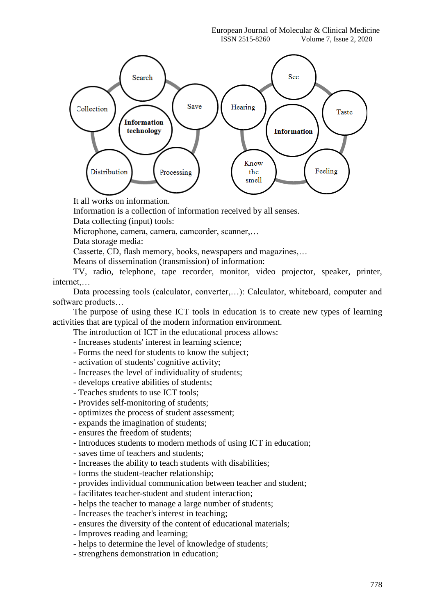

It all works on information.

Information is a collection of information received by all senses.

Data collecting (input) tools:

Microphone, camera, camera, camcorder, scanner,…

Data storage media:

Cassette, CD, flash memory, books, newspapers and magazines,…

Means of dissemination (transmission) of information:

TV, radio, telephone, tape recorder, monitor, video projector, speaker, printer, internet,…

Data processing tools (calculator, converter,…): Calculator, whiteboard, computer and software products…

The purpose of using these ICT tools in education is to create new types of learning activities that are typical of the modern information environment.

The introduction of ICT in the educational process allows:

- Increases students' interest in learning science;
- Forms the need for students to know the subject;
- activation of students' cognitive activity;
- Increases the level of individuality of students;
- develops creative abilities of students;
- Teaches students to use ICT tools;
- Provides self-monitoring of students;
- optimizes the process of student assessment;
- expands the imagination of students;
- ensures the freedom of students;
- Introduces students to modern methods of using ICT in education;
- saves time of teachers and students;
- Increases the ability to teach students with disabilities;
- forms the student-teacher relationship;
- provides individual communication between teacher and student;
- facilitates teacher-student and student interaction;
- helps the teacher to manage a large number of students;
- Increases the teacher's interest in teaching;
- ensures the diversity of the content of educational materials;
- Improves reading and learning;
- helps to determine the level of knowledge of students;
- strengthens demonstration in education;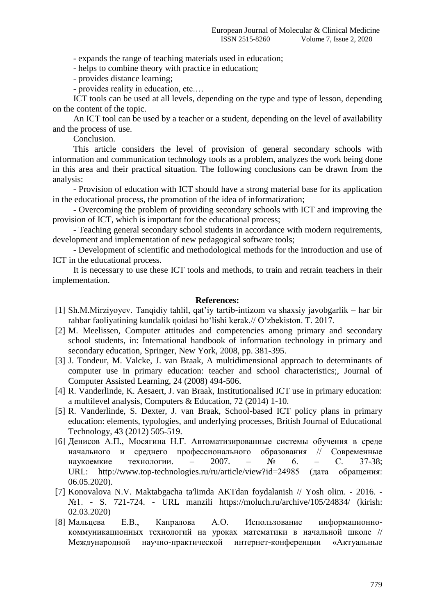- expands the range of teaching materials used in education;

- helps to combine theory with practice in education;

- provides distance learning;

- provides reality in education, etc.…

ICT tools can be used at all levels, depending on the type and type of lesson, depending on the content of the topic.

An ICT tool can be used by a teacher or a student, depending on the level of availability and the process of use.

Conclusion.

This article considers the level of provision of general secondary schools with information and communication technology tools as a problem, analyzes the work being done in this area and their practical situation. The following conclusions can be drawn from the analysis:

- Provision of education with ICT should have a strong material base for its application in the educational process, the promotion of the idea of informatization;

- Overcoming the problem of providing secondary schools with ICT and improving the provision of ICT, which is important for the educational process;

- Teaching general secondary school students in accordance with modern requirements, development and implementation of new pedagogical software tools;

- Development of scientific and methodological methods for the introduction and use of ICT in the educational process.

It is necessary to use these ICT tools and methods, to train and retrain teachers in their implementation.

## **References:**

- [1] Sh.M.Mirziyoyev. Tanqidiy tahlil, qat'iy tartib-intizom va shaxsiy javobgarlik har bir rahbar faoliyatining kundalik qoidasi boʻlishi kerak.// Oʻzbekiston. T. 2017.
- [2] M. Meelissen, Computer attitudes and competencies among primary and secondary school students, in: International handbook of information technology in primary and secondary education, Springer, New York, 2008, pp. 381-395.
- [3] J. Tondeur, M. Valcke, J. van Braak, A multidimensional approach to determinants of computer use in primary education: teacher and school characteristics;, Journal of Computer Assisted Learning, 24 (2008) 494-506.
- [4] R. Vanderlinde, K. Aesaert, J. van Braak, Institutionalised ICT use in primary education: a multilevel analysis, Computers & Education, 72 (2014) 1-10.
- [5] R. Vanderlinde, S. Dexter, J. van Braak, School-based ICT policy plans in primary education: elements, typologies, and underlying processes, British Journal of Educational Technology, 43 (2012) 505-519.
- [6] Денисов А.П., Мосягина Н.Г. Автоматизированные системы обучения в среде начального и среднего профессионального образования // Современные наукоемкие технологии. – 2007. – № 6. – С. 37-38; URL: http://www.top-technologies.ru/ru/article/view?id=24985 (дата обращения: 06.05.2020).
- [7] Konovalova N.V. Maktabgacha ta'limda AKTdan foydalanish // Yosh olim. 2016. №1. - S. 721-724. - URL manzili https://moluch.ru/archive/105/24834/ (kirish: 02.03.2020)
- [8] Мальцева Е.В., Капралова А.О. Использование информационнокоммуникационных технологий на уроках математики в начальной школе // Международной научно-практической интернет-конференции «Актуальные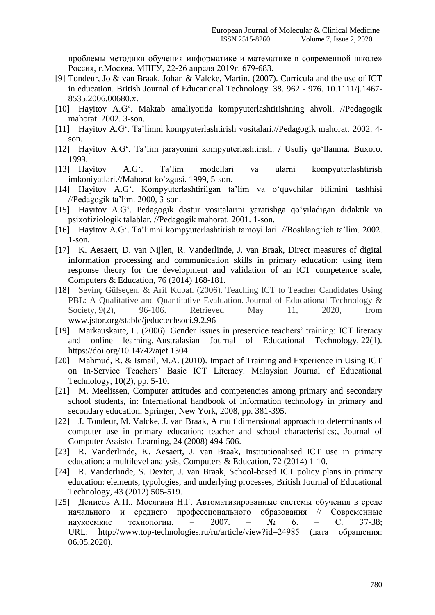проблемы методики обучения информатике и математике в современной школе» Россия, г.Москва, МПГУ, 22-26 апреля 2019г. 679-683.

- [9] Tondeur, Jo & van Braak, Johan & Valcke, Martin. (2007). Curricula and the use of ICT in education. British Journal of Educational Technology. 38. 962 - 976. 10.1111/j.1467- 8535.2006.00680.x.
- [10] Hayitov A.Gʻ. Maktab amaliyotida kompyuterlashtirishning ahvoli. //Pedagogik mahorat. 2002. 3-son.
- [11] Hayitov A.Gʻ. Ta'limni kompyuterlashtirish vositalari.//Pedagogik mahorat. 2002. 4 son.
- [12] Hayitov A.Gʻ. Ta'lim jarayonini kompyuterlashtirish. / Usuliy qoʻllanma. Buxoro. 1999.
- [13] Hayitov A.Gʻ. Ta'lim modellari va ularni kompyuterlashtirish imkoniyatlari.//Mahorat koʻzgusi. 1999, 5-son.
- [14] Hayitov A.Gʻ. Kompyuterlashtirilgan ta'lim va oʻquvchilar bilimini tashhisi //Pedagogik ta'lim. 2000, 3-son.
- [15] Hayitov A.Gʻ. Pedagogik dastur vositalarini yaratishga qoʻyiladigan didaktik va psixofiziologik talablar. //Pedagogik mahorat. 2001. 1-son.
- [16] Hayitov A.Gʻ. Ta'limni kompyuterlashtirish tamoyillari. //Boshlangʻich ta'lim. 2002. 1-son.
- [17] K. Aesaert, D. van Nijlen, R. Vanderlinde, J. van Braak, Direct measures of digital information processing and communication skills in primary education: using item response theory for the development and validation of an ICT competence scale, Computers & Education, 76 (2014) 168-181.
- [18] Sevinç Gülseçen, & Arif Kubat. (2006). Teaching ICT to Teacher Candidates Using PBL: A Qualitative and Quantitative Evaluation. Journal of Educational Technology & Society, 9(2), 96-106. Retrieved May 11, 2020, from www.jstor.org/stable/jeductechsoci.9.2.96
- [19] Markauskaite, L. (2006). Gender issues in preservice teachers' training: ICT literacy and online learning. Australasian Journal of Educational Technology, 22(1). https://doi.org/10.14742/ajet.1304
- [20] Mahmud, R. & Ismail, M.A. (2010). Impact of Training and Experience in Using ICT on In-Service Teachers' Basic ICT Literacy. Malaysian Journal of Educational Technology, 10(2), pp. 5-10.
- [21] M. Meelissen, Computer attitudes and competencies among primary and secondary school students, in: International handbook of information technology in primary and secondary education, Springer, New York, 2008, pp. 381-395.
- [22] J. Tondeur, M. Valcke, J. van Braak, A multidimensional approach to determinants of computer use in primary education: teacher and school characteristics;, Journal of Computer Assisted Learning, 24 (2008) 494-506.
- [23] R. Vanderlinde, K. Aesaert, J. van Braak, Institutionalised ICT use in primary education: a multilevel analysis, Computers & Education, 72 (2014) 1-10.
- [24] R. Vanderlinde, S. Dexter, J. van Braak, School-based ICT policy plans in primary education: elements, typologies, and underlying processes, British Journal of Educational Technology, 43 (2012) 505-519.
- [25] Денисов А.П., Мосягина Н.Г. Автоматизированные системы обучения в среде начального и среднего профессионального образования // Современные наукоемкие технологии. – 2007. – № 6. – С. 37-38; URL: http://www.top-technologies.ru/ru/article/view?id=24985 (дата обращения: 06.05.2020).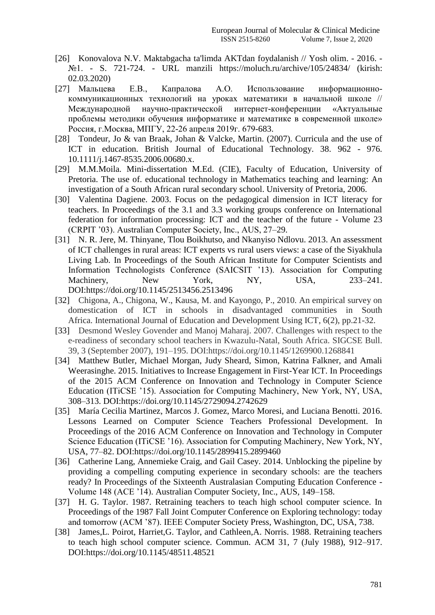- [26] Konovalova N.V. Maktabgacha ta'limda AKTdan foydalanish // Yosh olim. 2016. №1. - S. 721-724. - URL manzili https://moluch.ru/archive/105/24834/ (kirish: 02.03.2020)
- [27] Мальцева Е.В., Капралова А.О. Использование информационнокоммуникационных технологий на уроках математики в начальной школе // Международной научно-практической интернет-конференции «Актуальные проблемы методики обучения информатике и математике в современной школе» Россия, г.Москва, МПГУ, 22-26 апреля 2019г. 679-683.
- [28] Tondeur, Jo & van Braak, Johan & Valcke, Martin. (2007). Curricula and the use of ICT in education. British Journal of Educational Technology. 38. 962 - 976. 10.1111/j.1467-8535.2006.00680.x.
- [29] M.M.Moila. Mini-dissertation M.Ed. (CIE), Faculty of Education, University of Pretoria. The use of. educational technology in Mathematics teaching and learning: An investigation of a South African rural secondary school. University of Pretoria, 2006.
- [30] Valentina Dagiene. 2003. Focus on the pedagogical dimension in ICT literacy for teachers. In Proceedings of the 3.1 and 3.3 working groups conference on International federation for information processing: ICT and the teacher of the future - Volume 23 (CRPIT '03). Australian Computer Society, Inc., AUS, 27–29.
- [31] N. R. Jere, M. Thinyane, Tlou Boikhutso, and Nkanyiso Ndlovu. 2013. An assessment of ICT challenges in rural areas: ICT experts vs rural users views: a case of the Siyakhula Living Lab. In Proceedings of the South African Institute for Computer Scientists and Information Technologists Conference (SAICSIT '13). Association for Computing Machinery, New York, NY, USA, 233–241. DOI:https://doi.org/10.1145/2513456.2513496
- [32] Chigona, A., Chigona, W., Kausa, M. and Kayongo, P., 2010. An empirical survey on domestication of ICT in schools in disadvantaged communities in South Africa. International Journal of Education and Development Using ICT, 6(2), pp.21-32.
- [33] Desmond Wesley Govender and Manoj Maharaj. 2007. Challenges with respect to the e-readiness of secondary school teachers in Kwazulu-Natal, South Africa. SIGCSE Bull. 39, 3 (September 2007), 191–195. DOI:https://doi.org/10.1145/1269900.1268841
- [34] Matthew Butler, Michael Morgan, Judy Sheard, Simon, Katrina Falkner, and Amali Weerasinghe. 2015. Initiatives to Increase Engagement in First-Year ICT. In Proceedings of the 2015 ACM Conference on Innovation and Technology in Computer Science Education (ITiCSE '15). Association for Computing Machinery, New York, NY, USA, 308–313. DOI:https://doi.org/10.1145/2729094.2742629
- [35] María Cecilia Martinez, Marcos J. Gomez, Marco Moresi, and Luciana Benotti. 2016. Lessons Learned on Computer Science Teachers Professional Development. In Proceedings of the 2016 ACM Conference on Innovation and Technology in Computer Science Education (ITiCSE '16). Association for Computing Machinery, New York, NY, USA, 77–82. DOI:https://doi.org/10.1145/2899415.2899460
- [36] Catherine Lang, Annemieke Craig, and Gail Casey. 2014. Unblocking the pipeline by providing a compelling computing experience in secondary schools: are the teachers ready? In Proceedings of the Sixteenth Australasian Computing Education Conference - Volume 148 (ACE '14). Australian Computer Society, Inc., AUS, 149–158.
- [37] H. G. Taylor. 1987. Retraining teachers to teach high school computer science. In Proceedings of the 1987 Fall Joint Computer Conference on Exploring technology: today and tomorrow (ACM '87). IEEE Computer Society Press, Washington, DC, USA, 738.
- [38] James,L. Poirot, Harriet,G. Taylor, and Cathleen,A. Norris. 1988. Retraining teachers to teach high school computer science. Commun. ACM 31, 7 (July 1988), 912–917. DOI:https://doi.org/10.1145/48511.48521